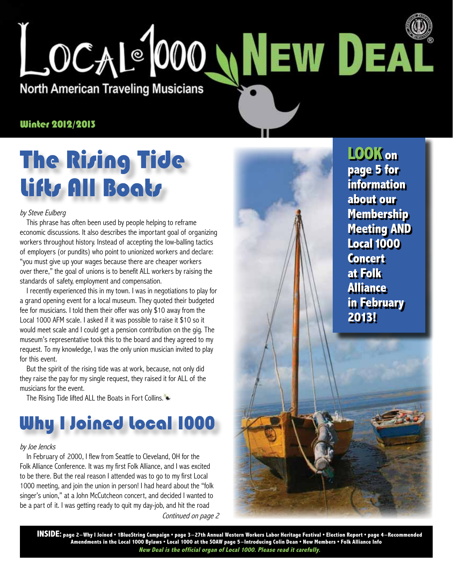

#### Winter 2012/2013

# **The Rizing Tide** Lifts All Boats

#### by Steve Eulberg

This phrase has often been used by people helping to reframe economic discussions. It also describes the important goal of organizing workers throughout history. Instead of accepting the low-balling tactics of employers (or pundits) who point to unionized workers and declare: "you must give up your wages because there are cheaper workers over there," the goal of unions is to benefit ALL workers by raising the standards of safety, employment and compensation.

I recently experienced this in my town. I was in negotiations to play for a grand opening event for a local museum. They quoted their budgeted fee for musicians. I told them their offer was only \$10 away from the Local 1000 AFM scale. I asked if it was possible to raise it \$10 so it would meet scale and I could get a pension contribution on the gig. The museum's representative took this to the board and they agreed to my request. To my knowledge, I was the only union musician invited to play for this event.

But the spirit of the rising tide was at work, because, not only did they raise the pay for my single request, they raised it for ALL of the musicians for the event.

The Rising Tide lifted ALL the Boats in Fort Collins.

# **Why I Joined local 1000**

#### by Joe Jencks

Continued on page 2 In February of 2000, I flew from Seattle to Cleveland, OH for the Folk Alliance Conference. It was my first Folk Alliance, and I was excited to be there. But the real reason I attended was to go to my first Local 1000 meeting, and join the union in person! I had heard about the "folk singer's union," at a John McCutcheon concert, and decided I wanted to be a part of it. I was getting ready to quit my day-job, and hit the road

**LOOK on page 5 for information about our Membership Meeting AND Local 1000 Concert at Folk Alliance in February 2013!**

**INSIDE: page 2–Why I Joined • 1BlueString Campaign • page 3–27th Annual Western Workers Labor Heritage Festival • Election Report • page 4–Recommended Amendments in the Local 1000 Bylaws • Local 1000 at the SOAW page 5–Introducing Colin Dean • New Members • Folk Alliance Info New Deal is the official organ of Local 1000. Please read it carefully.**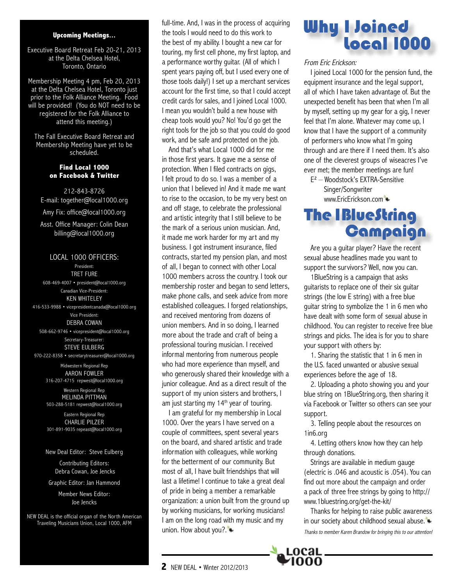#### **Upcoming Meetings...**

Executive Board Retreat Feb 20-21, 2013 at the Delta Chelsea Hotel, Toronto, Ontario

Membership Meeting 4 pm, Feb 20, 2013 at the Delta Chelsea Hotel, Toronto just prior to the Folk Alliance Meeting. Food will be provided! (You do NOT need to be registered for the Folk Alliance to attend this meeting.)

The Fall Executive Board Retreat and Membership Meeting have yet to be scheduled.

#### **Find Local 1000 on Facebook & Twitter**

212-843-8726 E-mail: together@local1000.org Amy Fix: office@local1000.org Asst. Office Manager: Colin Dean

billing@local1000.org

#### LOCAL 1000 OFFICERS:

President: TRET FURE 608-469-4007 • president@local1000.org Canadian Vice-President: KEN WHITELEY 416-533-9988 • vicepresidentcanada@local1000.org Vice President: DEBRA COWAN 508-662-9746 • vicepresident@local1000.org Secretary-Treasurer: STEVE EULBERG 970-222-8358 • secretarytreasurer@local1000.org

> Midwestern Regional Rep AARON FOWLER 316-207-4715 repwest@local1000.org

> Western Regional Rep MELINDA PITTMAN 503-288-5181 repwest@local1000.org

> Eastern Regional Rep CHARLIE PILZER 301-891-9035 repeast@local1000.org

#### New Deal Editor: Steve Eulberg

Contributing Editors: Debra Cowan, Joe Jencks

Graphic Editor: Jan Hammond

Member News Editor: Joe Jencks

NEW DEAL is the official organ of the North American Traveling Musicians Union, Local 1000, AFM

full-time. And, I was in the process of acquiring the tools I would need to do this work to the best of my ability. I bought a new car for touring, my first cell phone, my first laptop, and a performance worthy guitar. (All of which I spent years paying off, but I used every one of those tools daily!) I set up a merchant services account for the first time, so that I could accept credit cards for sales, and I joined Local 1000. I mean you wouldn't build a new house with cheap tools would you? No! You'd go get the right tools for the job so that you could do good work, and be safe and protected on the job.

And that's what Local 1000 did for me in those first years. It gave me a sense of protection. When I filed contracts on gigs, I felt proud to do so. I was a member of a union that I believed in! And it made me want to rise to the occasion, to be my very best on and off stage, to celebrate the professional and artistic integrity that I still believe to be the mark of a serious union musician. And, it made me work harder for my art and my business. I got instrument insurance, filed contracts, started my pension plan, and most of all, I began to connect with other Local 1000 members across the country. I took our membership roster and began to send letters, make phone calls, and seek advice from more established colleagues. I forged relationships, and received mentoring from dozens of union members. And in so doing, I learned more about the trade and craft of being a professional touring musician. I received informal mentoring from numerous people who had more experience than myself, and who generously shared their knowledge with a junior colleague. And as a direct result of the support of my union sisters and brothers, I am just starting my  $14<sup>th</sup>$  year of touring.

I am grateful for my membership in Local 1000. Over the years I have served on a couple of committees, spent several years on the board, and shared artistic and trade information with colleagues, while working for the betterment of our community. But most of all, I have built friendships that will last a lifetime! I continue to take a great deal of pride in being a member a remarkable organization: a union built from the ground up by working musicians, for working musicians! I am on the long road with my music and my union. How about you?.

## **Why I Joined Local 1000**

#### From Eric Erickson:

I joined Local 1000 for the pension fund, the equipment insurance and the legal support, all of which I have taken advantage of. But the unexpected benefit has been that when I'm all by myself, setting up my gear for a gig, I never feel that I'm alone. Whatever may come up, I know that I have the support of a community of performers who know what I'm going through and are there if I need them. It's also one of the cleverest groups of wiseacres I've ever met; the member meetings are fun!

E² – Woodstock's EXTRA-Sensitive Singer/Songwriter www.EricErickson.com

### **The IBlueString** Campaign

Are you a guitar player? Have the recent sexual abuse headlines made you want to support the survivors? Well, now you can.

1BlueString is a campaign that asks guitarists to replace one of their six guitar strings (the low E string) with a free blue guitar string to symbolize the 1 in 6 men who have dealt with some form of sexual abuse in childhood. You can register to receive free blue strings and picks. The idea is for you to share your support with others by:

1. Sharing the statistic that 1 in 6 men in the U.S. faced unwanted or abusive sexual experiences before the age of 18.

2. Uploading a photo showing you and your blue string on 1BlueString.org, then sharing it via Facebook or Twitter so others can see your support.

3. Telling people about the resources on 1in6.org

4. Letting others know how they can help through donations.

Strings are available in medium gauge (electric is .046 and acoustic is .054). You can find out more about the campaign and order a pack of three free strings by going to http:// www.1bluestring.org/get-the-kit/

Thanks for helping to raise public awareness in our society about childhood sexual abuse. Thanks to member Karen Brandow for bringing this to our attention!

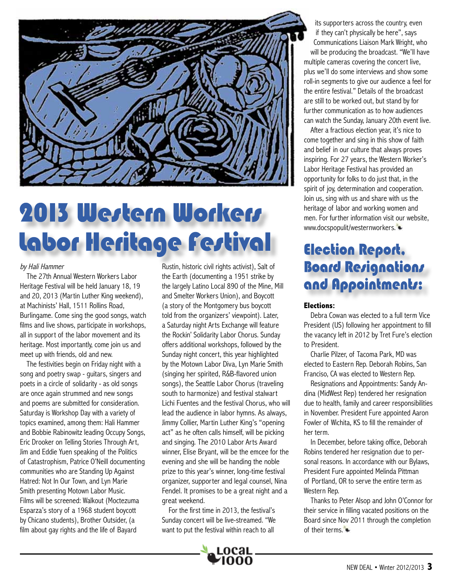

# 2013 Wertern Workers Labor Heritage Festival

#### by Hali Hammer

The 27th Annual Western Workers Labor Heritage Festival will be held January 18, 19 and 20, 2013 (Martin Luther King weekend), at Machinists' Hall, 1511 Rollins Road, Burlingame. Come sing the good songs, watch films and live shows, participate in workshops, all in support of the labor movement and its heritage. Most importantly, come join us and meet up with friends, old and new.

The festivities begin on Friday night with a song and poetry swap - guitars, singers and poets in a circle of solidarity - as old songs are once again strummed and new songs and poems are submitted for consideration. Saturday is Workshop Day with a variety of topics examined, among them: Hali Hammer and Bobbie Rabinowitz leading Occupy Songs, Eric Drooker on Telling Stories Through Art, Jim and Eddie Yuen speaking of the Politics of Catastrophism, Patrice O'Neill documenting communities who are Standing Up Against Hatred: Not In Our Town, and Lyn Marie Smith presenting Motown Labor Music. Films will be screened: Walkout (Moctezuma Esparza's story of a 1968 student boycott by Chicano students), Brother Outsider, (a film about gay rights and the life of Bayard

Rustin, historic civil rights activist), Salt of the Earth (documenting a 1951 strike by the largely Latino Local 890 of the Mine, Mill and Smelter Workers Union), and Boycott (a story of the Montgomery bus boycott told from the organizers' viewpoint). Later, a Saturday night Arts Exchange will feature the Rockin' Solidarity Labor Chorus. Sunday offers additional workshops, followed by the Sunday night concert, this year highlighted by the Motown Labor Diva, Lyn Marie Smith (singing her spirited, R&B-flavored union songs), the Seattle Labor Chorus (traveling south to harmonize) and festival stalwart Lichi Fuentes and the festival Chorus, who will lead the audience in labor hymns. As always, Jimmy Collier, Martin Luther King's "opening act" as he often calls himself, will be picking and singing. The 2010 Labor Arts Award winner, Elise Bryant, will be the emcee for the evening and she will be handing the noble prize to this year's winner, long-time festival organizer, supporter and legal counsel, Nina Fendel. It promises to be a great night and a great weekend.

For the first time in 2013, the festival's Sunday concert will be live-streamed. "We want to put the festival within reach to all



its supporters across the country, even if they can't physically be here", says Communications Liaison Mark Wright, who will be producing the broadcast. "We'll have multiple cameras covering the concert live, plus we'll do some interviews and show some roll-in segments to give our audience a feel for the entire festival." Details of the broadcast are still to be worked out, but stand by for further communication as to how audiences can watch the Sunday, January 20th event live.

After a fractious election year, it's nice to come together and sing in this show of faith and belief in our culture that always proves inspiring. For 27 years, the Western Worker's Labor Heritage Festival has provided an opportunity for folks to do just that, in the spirit of joy, determination and cooperation. Join us, sing with us and share with us the heritage of labor and working women and men. For further information visit our website, www.docspopulit/westernworkers.

## **Election Report. Board Resignations** and Appointments:

#### **Elections:**

Debra Cowan was elected to a full term Vice President (US) following her appointment to fill the vacancy left in 2012 by Tret Fure's election to President.

Charlie Pilzer, of Tacoma Park, MD was elected to Eastern Rep. Deborah Robins, San Franciso, CA was elected to Western Rep.

Resignations and Appointments: Sandy Andina (MidWest Rep) tendered her resignation due to health, family and career responsibilities in November. President Fure appointed Aaron Fowler of Wichita, KS to fill the remainder of her term.

In December, before taking office, Deborah Robins tendered her resignation due to personal reasons. In accordance with our Bylaws, President Fure appointed Melinda Pittman of Portland, OR to serve the entire term as Western Rep.

Thanks to Peter Alsop and John O'Connor for their service in filling vacated positions on the Board since Nov 2011 through the completion of their terms.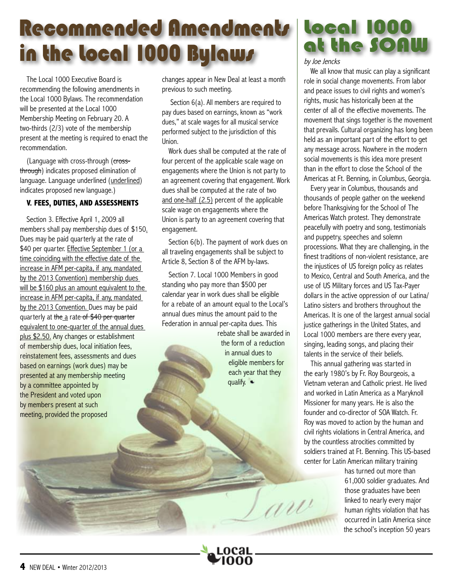# Recommended Amendments Local 1000 in the local 1000 Bylaws

The Local 1000 Executive Board is recommending the following amendments in the Local 1000 Bylaws. The recommendation will be presented at the Local 1000 Membership Meeting on February 20. A two-thirds (2/3) vote of the membership present at the meeting is required to enact the recommendation.

(Language with cross-through (crossthrough) indicates proposed elimination of language. Language underlined (underlined) indicates proposed new language.)

#### **V. FEES, DUTIES, AND ASSESSMENTS**

Section 3. Effective April 1, 2009 all members shall pay membership dues of \$150. Dues may be paid quarterly at the rate of \$40 per quarter. Effective September 1 (or a time coinciding with the effective date of the increase in AFM per-capita, if any, mandated by the 2013 Convention) membership dues will be \$160 plus an amount equivalent to the increase in AFM per-capita, if any, mandated by the 2013 Convention. Dues may be paid quarterly at the a rate of \$40 per quarter equivalent to one-quarter of the annual dues plus \$2.50. Any changes or establishment of membership dues, local initiation fees, reinstatement fees, assessments and dues based on earnings (work dues) may be presented at any membership meeting by a committee appointed by the President and voted upon by members present at such meeting, provided the proposed

changes appear in New Deal at least a month previous to such meeting.

Section 6(a). All members are required to pay dues based on earnings, known as "work dues," at scale wages for all musical service performed subject to the jurisdiction of this Union.

Work dues shall be computed at the rate of four percent of the applicable scale wage on engagements where the Union is not party to an agreement covering that engagement. Work dues shall be computed at the rate of two and one-half (2.5) percent of the applicable scale wage on engagements where the Union is party to an agreement covering that engagement.

Section 6(b). The payment of work dues on all traveling engagements shall be subject to Article 8, Section 8 of the AFM by-laws.

Section 7. Local 1000 Members in good standing who pay more than \$500 per calendar year in work dues shall be eligible for a rebate of an amount equal to the Local's annual dues minus the amount paid to the Federation in annual per-capita dues. This

rebate shall be awarded in the form of a reduction in annual dues to eligible members for each year that they qualify.

W

# at the SOA

by Joe Jencks

We all know that music can play a significant role in social change movements. From labor and peace issues to civil rights and women's rights, music has historically been at the center of all of the effective movements. The movement that sings together is the movement that prevails. Cultural organizing has long been held as an important part of the effort to get any message across. Nowhere in the modern social movements is this idea more present than in the effort to close the School of the Americas at Ft. Benning, in Columbus, Georgia.

Every year in Columbus, thousands and thousands of people gather on the weekend before Thanksgiving for the School of The Americas Watch protest. They demonstrate peacefully with poetry and song, testimonials and puppetry, speeches and solemn processions. What they are challenging, in the finest traditions of non-violent resistance, are the injustices of US foreign policy as relates to Mexico, Central and South America, and the use of US Military forces and US Tax-Payer dollars in the active oppression of our Latina/ Latino sisters and brothers throughout the Americas. It is one of the largest annual social justice gatherings in the United States, and Local 1000 members are there every year, singing, leading songs, and placing their talents in the service of their beliefs.

This annual gathering was started in the early 1980's by Fr. Roy Bourgeois, a Vietnam veteran and Catholic priest. He lived and worked in Latin America as a Maryknoll Missioner for many years. He is also the founder and co-director of SOA Watch. Fr. Roy was moved to action by the human and civil rights violations in Central America, and by the countless atrocities committed by soldiers trained at Ft. Benning. This US-based center for Latin American military training

> has turned out more than 61,000 soldier graduates. And those graduates have been linked to nearly every major human rights violation that has occurred in Latin America since the school's inception 50 years

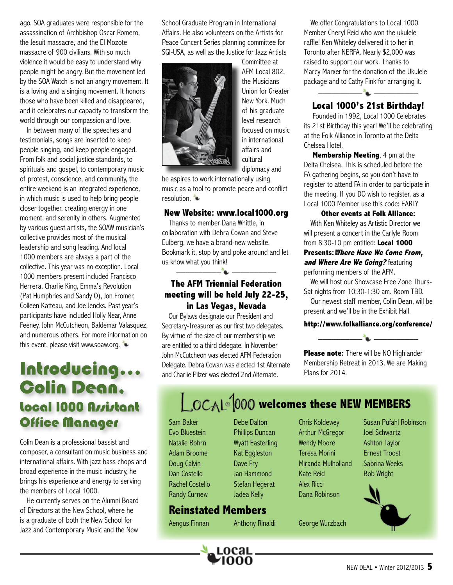ago. SOA graduates were responsible for the assassination of Archbishop Oscar Romero, the Jesuit massacre, and the El Mozote massacre of 900 civilians. With so much violence it would be easy to understand why people might be angry. But the movement led by the SOA Watch is not an angry movement. It is a loving and a singing movement. It honors those who have been killed and disappeared, and it celebrates our capacity to transform the world through our compassion and love.

In between many of the speeches and testimonials, songs are inserted to keep people singing, and keep people engaged. From folk and social justice standards, to spirituals and gospel, to contemporary music of protest, conscience, and community, the entire weekend is an integrated experience, in which music is used to help bring people closer together, creating energy in one moment, and serenity in others. Augmented by various guest artists, the SOAW musician's collective provides most of the musical leadership and song leading. And local 1000 members are always a part of the collective. This year was no exception. Local 1000 members present included Francisco Herrera, Charlie King, Emma's Revolution (Pat Humphries and Sandy O), Jon Fromer, Colleen Katteau, and Joe Jencks. Past year's participants have included Holly Near, Anne Feeney, John McCutcheon, Baldemar Valasquez, and numerous others. For more information on this event, please visit www.soaw.org.

## Introducing... **Colin Dean.** Local 1000 Assistant **Office Manager**

Colin Dean is a professional bassist and composer, a consultant on music business and international affairs. With jazz bass chops and broad experience in the music industry, he brings his experience and energy to serving the members of Local 1000.

He currently serves on the Alumni Board of Directors at the New School, where he is a graduate of both the New School for Jazz and Contemporary Music and the New

School Graduate Program in International Affairs. He also volunteers on the Artists for Peace Concert Series planning committee for SGI-USA, as well as the Justice for Jazz Artists



Committee at AFM Local 802, the Musicians Union for Greater New York. Much of his graduate level research focused on music in international affairs and cultural diplomacy and

he aspires to work internationally using music as a tool to promote peace and conflict resolution.

#### **New Website: www.local1000.org**

Thanks to member Dana Whittle, in collaboration with Debra Cowan and Steve Eulberg, we have a brand-new website. Bookmark it, stop by and poke around and let us know what you think! \_\_\_\_\_\_\_\_\_\_ \_\_\_\_\_\_\_\_\_\_

#### **The AFM Triennial Federation meeting will be held July 22-25, in Las Vegas, Nevada**

Our Bylaws designate our President and Secretary-Treasurer as our first two delegates. By virtue of the size of our membership we are entitled to a third delegate. In November John McCutcheon was elected AFM Federation Delegate. Debra Cowan was elected 1st Alternate and Charlie Pilzer was elected 2nd Alternate.

We offer Congratulations to Local 1000 Member Cheryl Reid who won the ukulele raffle! Ken Whiteley delivered it to her in Toronto after NERFA. Nearly \$2,000 was raised to support our work. Thanks to Marcy Marxer for the donation of the Ukulele package and to Cathy Fink for arranging it.

#### **Local 1000's 21st Birthday!**

 $\Delta$ 

 Founded in 1992, Local 1000 Celebrates its 21st Birthday this year! We'll be celebrating at the Folk Alliance in Toronto at the Delta Chelsea Hotel.

**Membership Meeting**, 4 pm at the Delta Chelsea. This is scheduled before the FA gathering begins, so you don't have to register to attend FA in order to participate in the meeting. If you DO wish to register, as a Local 1000 Member use this code: EARLY

#### **Other events at Folk Alliance:**

With Ken Whiteley as Artistic Director we will present a concert in the Carlyle Room from 8:30-10 pm entitled: **Local 1000** 

#### **Presents:Where Have We Come From, and Where Are We Going?** featuring performing members of the AFM.

We will host our Showcase Free Zone Thurs-Sat nights from 10:30-1:30 am. Room TBD.

Our newest staff member, Colin Dean, will be present and we'll be in the Exhibit Hall.

#### **http://www.folkalliance.org/conference/**



**Please note:** There will be NO Highlander Membership Retreat in 2013. We are Making Plans for 2014.

# **LOCAL**<sup>[000</sup> welcomes these NEW MEMBERS

Sam Baker Evo Bluestein Natalie Bohrn Adam Broome Doug Calvin Dan Costello Rachel Costello Randy Curnew

Debe Dalton Phillips Duncan Wyatt Easterling Kat Eggleston Dave Fry Jan Hammond Stefan Hegerat Jadea Kelly

#### **Reinstated Members**

LOCAL \_

Chris Koldewey Arthur McGregor Wendy Moore Teresa Morini Miranda Mulholland Kate Reid Alex Ricci Dana Robinson

Aengus Finnan Anthony Rinaldi George Wurzbach